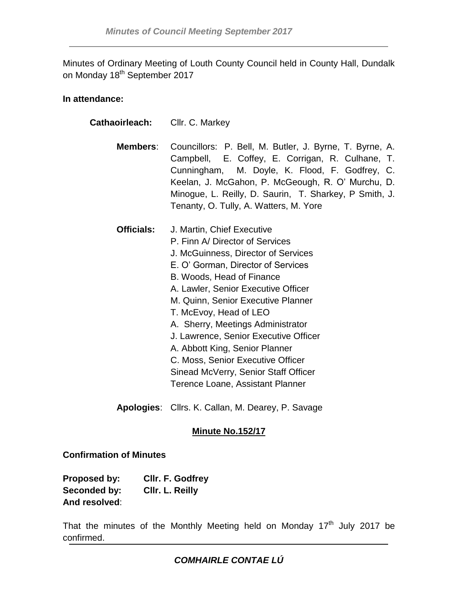Minutes of Ordinary Meeting of Louth County Council held in County Hall, Dundalk on Monday 18<sup>th</sup> September 2017

### **In attendance:**

| <b>Cathaoirleach:</b> Cllr. C. Markey |                                                                                                                                                                                                                                                                                                                                                                                                                                                                                                                 |
|---------------------------------------|-----------------------------------------------------------------------------------------------------------------------------------------------------------------------------------------------------------------------------------------------------------------------------------------------------------------------------------------------------------------------------------------------------------------------------------------------------------------------------------------------------------------|
| Members:                              | Councillors: P. Bell, M. Butler, J. Byrne, T. Byrne, A.<br>Campbell, E. Coffey, E. Corrigan, R. Culhane, T.<br>Cunningham, M. Doyle, K. Flood, F. Godfrey, C.<br>Keelan, J. McGahon, P. McGeough, R. O' Murchu, D.<br>Minogue, L. Reilly, D. Saurin, T. Sharkey, P Smith, J.<br>Tenanty, O. Tully, A. Watters, M. Yore                                                                                                                                                                                          |
| <b>Officials:</b>                     | J. Martin, Chief Executive<br>P. Finn A/ Director of Services<br>J. McGuinness, Director of Services<br>E. O' Gorman, Director of Services<br>B. Woods, Head of Finance<br>A. Lawler, Senior Executive Officer<br>M. Quinn, Senior Executive Planner<br>T. McEvoy, Head of LEO<br>A. Sherry, Meetings Administrator<br>J. Lawrence, Senior Executive Officer<br>A. Abbott King, Senior Planner<br>C. Moss, Senior Executive Officer<br>Sinead McVerry, Senior Staff Officer<br>Terence Loane, Assistant Planner |

**Apologies**: Cllrs. K. Callan, M. Dearey, P. Savage

# **Minute No.152/17**

#### **Confirmation of Minutes**

| Proposed by:  | Cllr. F. Godfrey |
|---------------|------------------|
| Seconded by:  | CIIr. L. Reilly  |
| And resolved: |                  |

That the minutes of the Monthly Meeting held on Monday  $17<sup>th</sup>$  July 2017 be confirmed.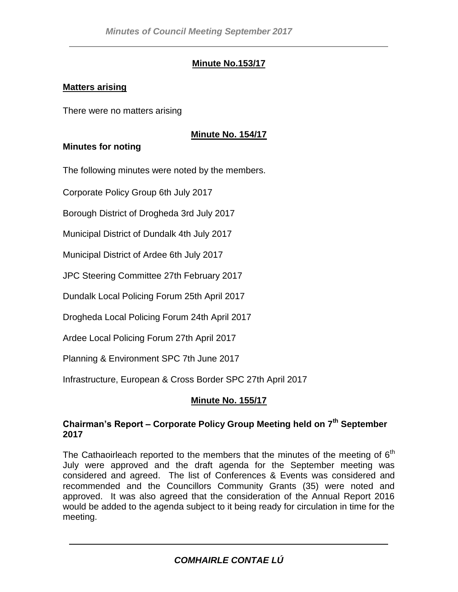# **Minute No.153/17**

#### **Matters arising**

There were no matters arising

## **Minute No. 154/17**

### **Minutes for noting**

The following minutes were noted by the members.

Corporate Policy Group 6th July 2017

Borough District of Drogheda 3rd July 2017

Municipal District of Dundalk 4th July 2017

Municipal District of Ardee 6th July 2017

JPC Steering Committee 27th February 2017

Dundalk Local Policing Forum 25th April 2017

Drogheda Local Policing Forum 24th April 2017

Ardee Local Policing Forum 27th April 2017

Planning & Environment SPC 7th June 2017

Infrastructure, European & Cross Border SPC 27th April 2017

## **Minute No. 155/17**

#### **Chairman's Report – Corporate Policy Group Meeting held on 7th September 2017**

The Cathaoirleach reported to the members that the minutes of the meeting of  $6<sup>th</sup>$ July were approved and the draft agenda for the September meeting was considered and agreed. The list of Conferences & Events was considered and recommended and the Councillors Community Grants (35) were noted and approved. It was also agreed that the consideration of the Annual Report 2016 would be added to the agenda subject to it being ready for circulation in time for the meeting.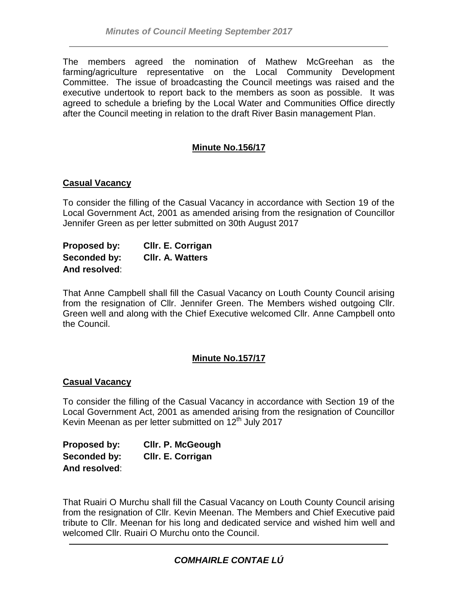The members agreed the nomination of Mathew McGreehan as the farming/agriculture representative on the Local Community Development Committee. The issue of broadcasting the Council meetings was raised and the executive undertook to report back to the members as soon as possible. It was agreed to schedule a briefing by the Local Water and Communities Office directly after the Council meeting in relation to the draft River Basin management Plan.

# **Minute No.156/17**

#### **Casual Vacancy**

To consider the filling of the Casual Vacancy in accordance with Section 19 of the Local Government Act, 2001 as amended arising from the resignation of Councillor Jennifer Green as per letter submitted on 30th August 2017

| Proposed by:  | Cllr. E. Corrigan       |
|---------------|-------------------------|
| Seconded by:  | <b>CIIr. A. Watters</b> |
| And resolved: |                         |

That Anne Campbell shall fill the Casual Vacancy on Louth County Council arising from the resignation of Cllr. Jennifer Green. The Members wished outgoing Cllr. Green well and along with the Chief Executive welcomed Cllr. Anne Campbell onto the Council.

#### **Minute No.157/17**

#### **Casual Vacancy**

To consider the filling of the Casual Vacancy in accordance with Section 19 of the Local Government Act, 2001 as amended arising from the resignation of Councillor Kevin Meenan as per letter submitted on 12<sup>th</sup> July 2017

**Proposed by: Cllr. P. McGeough Seconded by: Cllr. E. Corrigan And resolved**:

That Ruairi O Murchu shall fill the Casual Vacancy on Louth County Council arising from the resignation of Cllr. Kevin Meenan. The Members and Chief Executive paid tribute to Cllr. Meenan for his long and dedicated service and wished him well and welcomed Cllr. Ruairi O Murchu onto the Council.

# *COMHAIRLE CONTAE LÚ*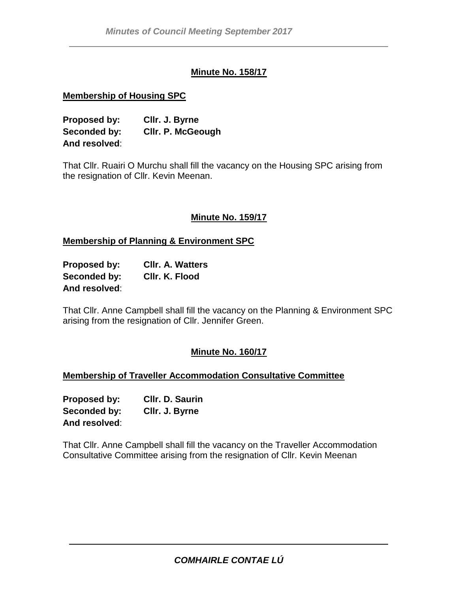### **Minute No. 158/17**

#### **Membership of Housing SPC**

**Proposed by: Cllr. J. Byrne Seconded by: Cllr. P. McGeough And resolved**:

That Cllr. Ruairi O Murchu shall fill the vacancy on the Housing SPC arising from the resignation of Cllr. Kevin Meenan.

#### **Minute No. 159/17**

#### **Membership of Planning & Environment SPC**

| Proposed by:  | <b>CIIr. A. Watters</b> |
|---------------|-------------------------|
| Seconded by:  | CIIr. K. Flood          |
| And resolved: |                         |

That Cllr. Anne Campbell shall fill the vacancy on the Planning & Environment SPC arising from the resignation of Cllr. Jennifer Green.

#### **Minute No. 160/17**

#### **Membership of Traveller Accommodation Consultative Committee**

**Proposed by: Cllr. D. Saurin Seconded by: Cllr. J. Byrne And resolved**:

That Cllr. Anne Campbell shall fill the vacancy on the Traveller Accommodation Consultative Committee arising from the resignation of Cllr. Kevin Meenan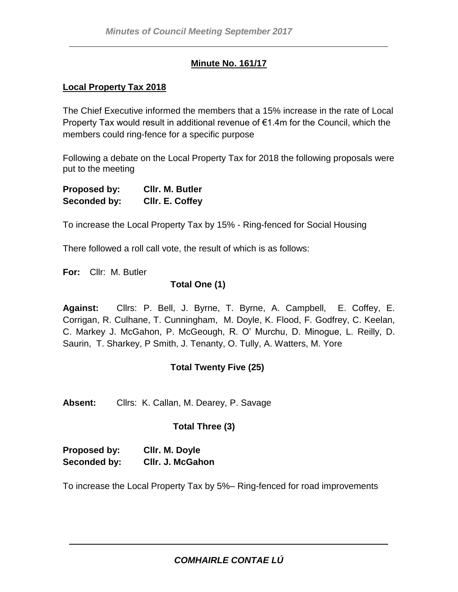### **Minute No. 161/17**

#### **Local Property Tax 2018**

The Chief Executive informed the members that a 15% increase in the rate of Local Property Tax would result in additional revenue of €1.4m for the Council, which the members could ring-fence for a specific purpose

Following a debate on the Local Property Tax for 2018 the following proposals were put to the meeting

| Proposed by: | CIIr. M. Butler |
|--------------|-----------------|
| Seconded by: | CIIr. E. Coffey |

To increase the Local Property Tax by 15% - Ring-fenced for Social Housing

There followed a roll call vote, the result of which is as follows:

**For:** Cllr: M. Butler

#### **Total One (1)**

**Against:** Cllrs: P. Bell, J. Byrne, T. Byrne, A. Campbell, E. Coffey, E. Corrigan, R. Culhane, T. Cunningham, M. Doyle, K. Flood, F. Godfrey, C. Keelan, C. Markey J. McGahon, P. McGeough, R. O' Murchu, D. Minogue, L. Reilly, D. Saurin, T. Sharkey, P Smith, J. Tenanty, O. Tully, A. Watters, M. Yore

## **Total Twenty Five (25)**

**Absent:** Cllrs: K. Callan, M. Dearey, P. Savage

## **Total Three (3)**

| Proposed by: | Cllr. M. Doyle   |
|--------------|------------------|
| Seconded by: | CIIr. J. McGahon |

To increase the Local Property Tax by 5%– Ring-fenced for road improvements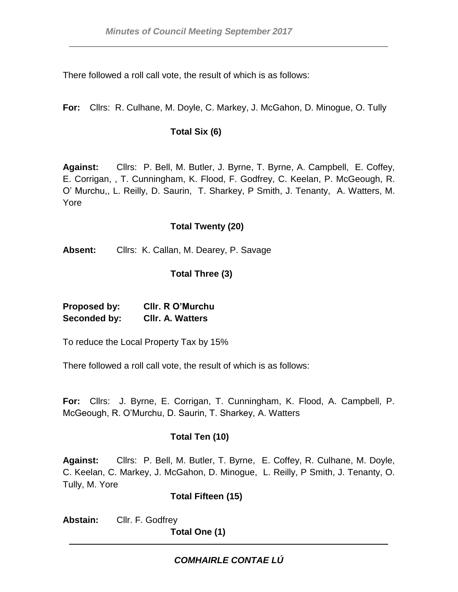There followed a roll call vote, the result of which is as follows:

**For:** Cllrs: R. Culhane, M. Doyle, C. Markey, J. McGahon, D. Minogue, O. Tully

# **Total Six (6)**

**Against:** Cllrs: P. Bell, M. Butler, J. Byrne, T. Byrne, A. Campbell, E. Coffey, E. Corrigan, , T. Cunningham, K. Flood, F. Godfrey, C. Keelan, P. McGeough, R. O' Murchu,, L. Reilly, D. Saurin, T. Sharkey, P Smith, J. Tenanty, A. Watters, M. Yore

### **Total Twenty (20)**

**Absent:** Cllrs: K. Callan, M. Dearey, P. Savage

# **Total Three (3)**

**Proposed by: Cllr. R O'Murchu Seconded by: Cllr. A. Watters**

To reduce the Local Property Tax by 15%

There followed a roll call vote, the result of which is as follows:

**For:** Cllrs: J. Byrne, E. Corrigan, T. Cunningham, K. Flood, A. Campbell, P. McGeough, R. O'Murchu, D. Saurin, T. Sharkey, A. Watters

# **Total Ten (10)**

**Against:** Cllrs: P. Bell, M. Butler, T. Byrne, E. Coffey, R. Culhane, M. Doyle, C. Keelan, C. Markey, J. McGahon, D. Minogue, L. Reilly, P Smith, J. Tenanty, O. Tully, M. Yore

## **Total Fifteen (15)**

**Abstain:** Cllr. F. Godfrey

**Total One (1)**

# *COMHAIRLE CONTAE LÚ*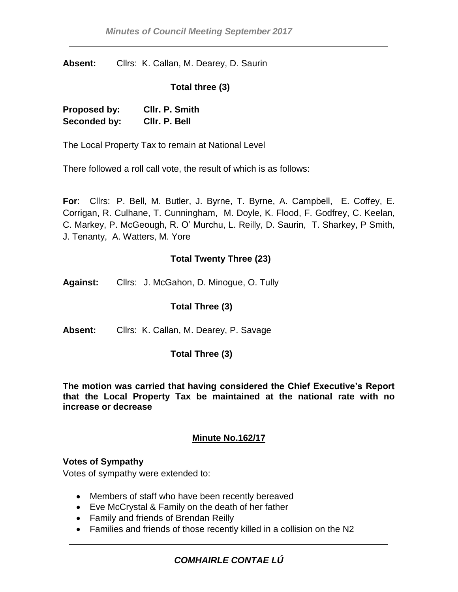**Absent:** Cllrs: K. Callan, M. Dearey, D. Saurin

#### **Total three (3)**

| Proposed by: | CIIr. P. Smith |
|--------------|----------------|
| Seconded by: | CIIr. P. Bell  |

The Local Property Tax to remain at National Level

There followed a roll call vote, the result of which is as follows:

**For**: Cllrs: P. Bell, M. Butler, J. Byrne, T. Byrne, A. Campbell, E. Coffey, E. Corrigan, R. Culhane, T. Cunningham, M. Doyle, K. Flood, F. Godfrey, C. Keelan, C. Markey, P. McGeough, R. O' Murchu, L. Reilly, D. Saurin, T. Sharkey, P Smith, J. Tenanty, A. Watters, M. Yore

#### **Total Twenty Three (23)**

**Against:** Cllrs: J. McGahon, D. Minogue, O. Tully

#### **Total Three (3)**

**Absent:** Cllrs: K. Callan, M. Dearey, P. Savage

#### **Total Three (3)**

**The motion was carried that having considered the Chief Executive's Report that the Local Property Tax be maintained at the national rate with no increase or decrease**

#### **Minute No.162/17**

#### **Votes of Sympathy**

Votes of sympathy were extended to:

- Members of staff who have been recently bereaved
- Eve McCrystal & Family on the death of her father
- Family and friends of Brendan Reilly
- Families and friends of those recently killed in a collision on the N2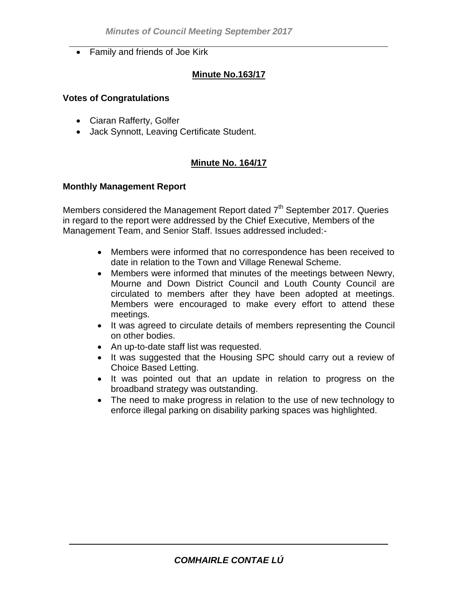• Family and friends of Joe Kirk

# **Minute No.163/17**

#### **Votes of Congratulations**

- Ciaran Rafferty, Golfer
- Jack Synnott, Leaving Certificate Student.

## **Minute No. 164/17**

### **Monthly Management Report**

Members considered the Management Report dated  $7<sup>th</sup>$  September 2017. Queries in regard to the report were addressed by the Chief Executive, Members of the Management Team, and Senior Staff. Issues addressed included:-

- Members were informed that no correspondence has been received to date in relation to the Town and Village Renewal Scheme.
- Members were informed that minutes of the meetings between Newry, Mourne and Down District Council and Louth County Council are circulated to members after they have been adopted at meetings. Members were encouraged to make every effort to attend these meetings.
- It was agreed to circulate details of members representing the Council on other bodies.
- An up-to-date staff list was requested.
- It was suggested that the Housing SPC should carry out a review of Choice Based Letting.
- It was pointed out that an update in relation to progress on the broadband strategy was outstanding.
- The need to make progress in relation to the use of new technology to enforce illegal parking on disability parking spaces was highlighted.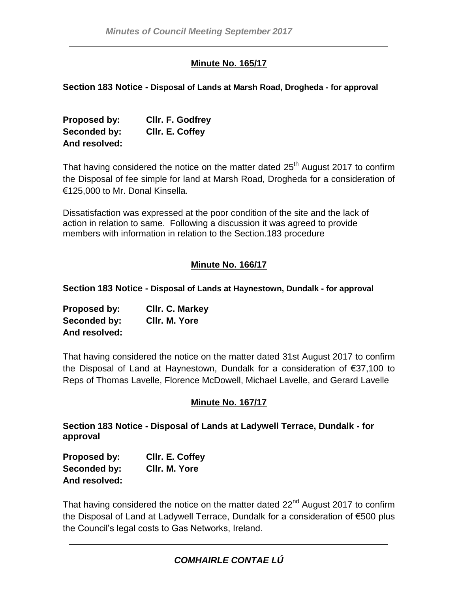### **Minute No. 165/17**

**Section 183 Notice - Disposal of Lands at Marsh Road, Drogheda - for approval**

| Proposed by:  | CIIr. F. Godfrey |
|---------------|------------------|
| Seconded by:  | CIIr. E. Coffey  |
| And resolved: |                  |

That having considered the notice on the matter dated  $25<sup>th</sup>$  August 2017 to confirm the Disposal of fee simple for land at Marsh Road, Drogheda for a consideration of €125,000 to Mr. Donal Kinsella.

Dissatisfaction was expressed at the poor condition of the site and the lack of action in relation to same. Following a discussion it was agreed to provide members with information in relation to the Section.183 procedure

## **Minute No. 166/17**

**Section 183 Notice - Disposal of Lands at Haynestown, Dundalk - for approval**

| Proposed by:  | Cllr. C. Markey |
|---------------|-----------------|
| Seconded by:  | CIIr. M. Yore   |
| And resolved: |                 |

That having considered the notice on the matter dated 31st August 2017 to confirm the Disposal of Land at Haynestown, Dundalk for a consideration of €37,100 to Reps of Thomas Lavelle, Florence McDowell, Michael Lavelle, and Gerard Lavelle

#### **Minute No. 167/17**

**Section 183 Notice - Disposal of Lands at Ladywell Terrace, Dundalk - for approval**

**Proposed by: Cllr. E. Coffey Seconded by: Cllr. M. Yore And resolved:**

That having considered the notice on the matter dated 22<sup>nd</sup> August 2017 to confirm the Disposal of Land at Ladywell Terrace, Dundalk for a consideration of €500 plus the Council's legal costs to Gas Networks, Ireland.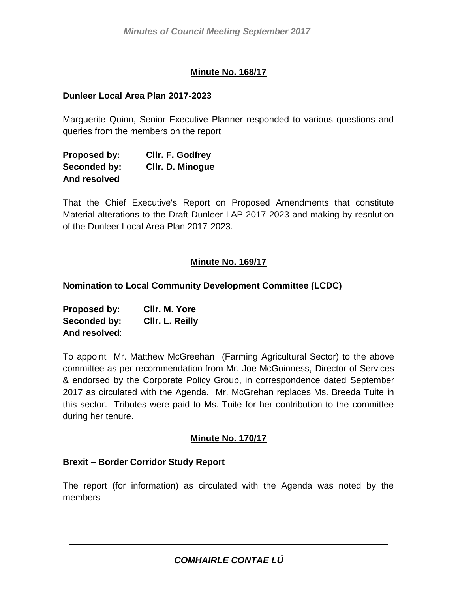## **Minute No. 168/17**

#### **Dunleer Local Area Plan 2017-2023**

Marguerite Quinn, Senior Executive Planner responded to various questions and queries from the members on the report

| Proposed by: | Cllr. F. Godfrey        |
|--------------|-------------------------|
| Seconded by: | <b>CIIr. D. Minogue</b> |
| And resolved |                         |

That the Chief Executive's Report on Proposed Amendments that constitute Material alterations to the Draft Dunleer LAP 2017-2023 and making by resolution of the Dunleer Local Area Plan 2017-2023.

## **Minute No. 169/17**

**Nomination to Local Community Development Committee (LCDC)**

| Proposed by:  | CIIr. M. Yore   |
|---------------|-----------------|
| Seconded by:  | CIIr. L. Reilly |
| And resolved: |                 |

To appoint Mr. Matthew McGreehan (Farming Agricultural Sector) to the above committee as per recommendation from Mr. Joe McGuinness, Director of Services & endorsed by the Corporate Policy Group, in correspondence dated September 2017 as circulated with the Agenda. Mr. McGrehan replaces Ms. Breeda Tuite in this sector. Tributes were paid to Ms. Tuite for her contribution to the committee during her tenure.

#### **Minute No. 170/17**

#### **Brexit – Border Corridor Study Report**

The report (for information) as circulated with the Agenda was noted by the members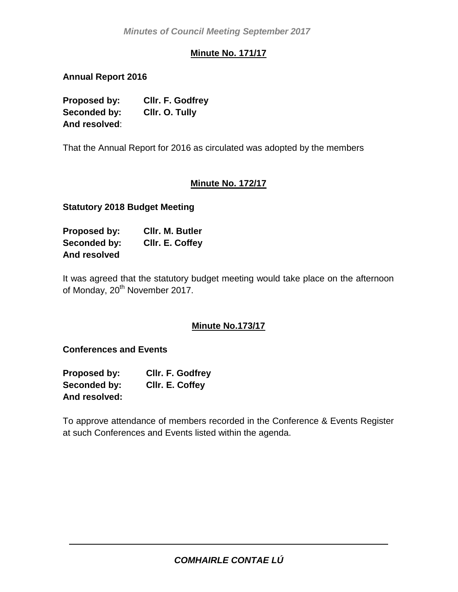# **Minute No. 171/17**

**Annual Report 2016**

**Proposed by: Cllr. F. Godfrey Seconded by: Cllr. O. Tully And resolved**:

That the Annual Report for 2016 as circulated was adopted by the members

# **Minute No. 172/17**

**Statutory 2018 Budget Meeting** 

| Proposed by: | CIIr. M. Butler |
|--------------|-----------------|
| Seconded by: | CIIr. E. Coffey |
| And resolved |                 |

It was agreed that the statutory budget meeting would take place on the afternoon of Monday, 20<sup>th</sup> November 2017.

## **Minute No.173/17**

**Conferences and Events**

| Proposed by:  | <b>CIIr. F. Godfrey</b> |
|---------------|-------------------------|
| Seconded by:  | CIIr. E. Coffey         |
| And resolved: |                         |

To approve attendance of members recorded in the Conference & Events Register at such Conferences and Events listed within the agenda.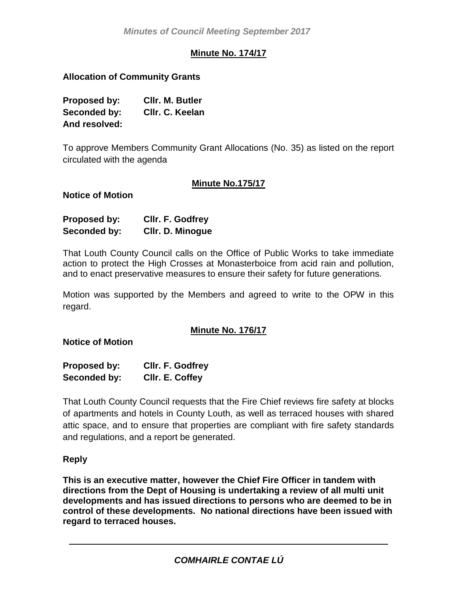# **Minute No. 174/17**

### **Allocation of Community Grants**

| Proposed by:  | CIIr. M. Butler |
|---------------|-----------------|
| Seconded by:  | CIIr. C. Keelan |
| And resolved: |                 |

To approve Members Community Grant Allocations (No. 35) as listed on the report circulated with the agenda

### **Minute No.175/17**

**Notice of Motion**

| <b>Proposed by:</b> | Cllr. F. Godfrey |
|---------------------|------------------|
| Seconded by:        | Cllr. D. Minogue |

That Louth County Council calls on the Office of Public Works to take immediate action to protect the High Crosses at Monasterboice from acid rain and pollution, and to enact preservative measures to ensure their safety for future generations.

Motion was supported by the Members and agreed to write to the OPW in this regard.

#### **Minute No. 176/17**

**Notice of Motion**

| <b>Proposed by:</b> | Cllr. F. Godfrey |
|---------------------|------------------|
| Seconded by:        | CIIr. E. Coffey  |

That Louth County Council requests that the Fire Chief reviews fire safety at blocks of apartments and hotels in County Louth, as well as terraced houses with shared attic space, and to ensure that properties are compliant with fire safety standards and regulations, and a report be generated.

#### **Reply**

**This is an executive matter, however the Chief Fire Officer in tandem with directions from the Dept of Housing is undertaking a review of all multi unit developments and has issued directions to persons who are deemed to be in control of these developments. No national directions have been issued with regard to terraced houses.**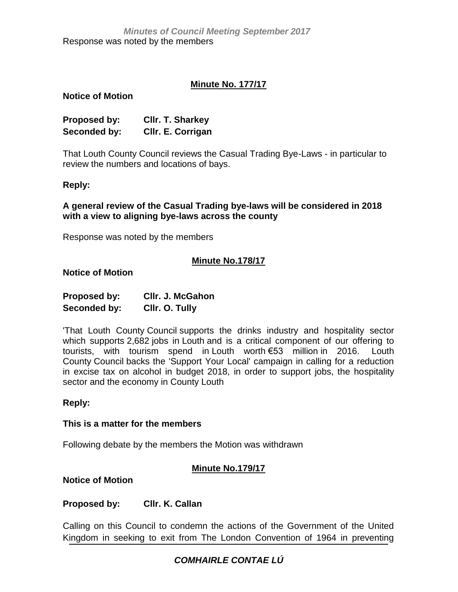### **Minute No. 177/17**

#### **Notice of Motion**

| <b>Proposed by:</b> | <b>CIIr. T. Sharkey</b> |
|---------------------|-------------------------|
| Seconded by:        | Cllr. E. Corrigan       |

That Louth County Council reviews the Casual Trading Bye-Laws - in particular to review the numbers and locations of bays.

#### **Reply:**

**A general review of the Casual Trading bye-laws will be considered in 2018 with a view to aligning bye-laws across the county**

Response was noted by the members

#### **Minute No.178/17**

#### **Notice of Motion**

| Proposed by: | CIIr. J. McGahon |
|--------------|------------------|
| Seconded by: | Cllr. O. Tully   |

'That Louth County Council supports the drinks industry and hospitality sector which supports 2,682 jobs in Louth and is a critical component of our offering to tourists, with tourism spend in Louth worth €53 million in 2016. Louth County Council backs the 'Support Your Local' campaign in calling for a reduction in excise tax on alcohol in budget 2018, in order to support jobs, the hospitality sector and the economy in County Louth

#### **Reply:**

#### **This is a matter for the members**

Following debate by the members the Motion was withdrawn

#### **Minute No.179/17**

**Notice of Motion**

### **Proposed by: Cllr. K. Callan**

Calling on this Council to condemn the actions of the Government of the United Kingdom in seeking to exit from The London Convention of 1964 in preventing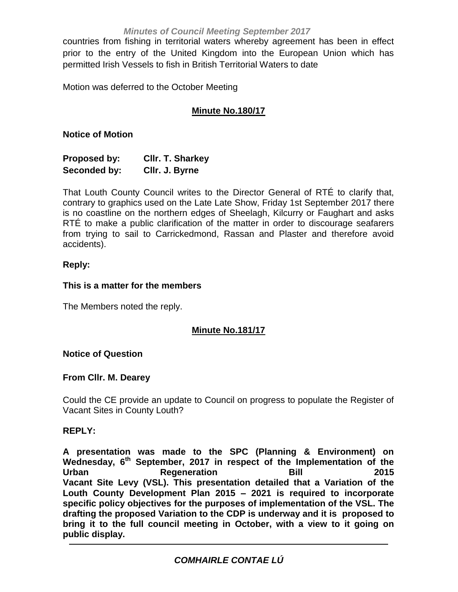#### *Minutes of Council Meeting September 2017*

countries from fishing in territorial waters whereby agreement has been in effect prior to the entry of the United Kingdom into the European Union which has permitted Irish Vessels to fish in British Territorial Waters to date

Motion was deferred to the October Meeting

# **Minute No.180/17**

#### **Notice of Motion**

| Proposed by: | <b>CIIr. T. Sharkey</b> |
|--------------|-------------------------|
| Seconded by: | Cllr. J. Byrne          |

That Louth County Council writes to the Director General of RTÉ to clarify that, contrary to graphics used on the Late Late Show, Friday 1st September 2017 there is no coastline on the northern edges of Sheelagh, Kilcurry or Faughart and asks RTÉ to make a public clarification of the matter in order to discourage seafarers from trying to sail to Carrickedmond, Rassan and Plaster and therefore avoid accidents).

### **Reply:**

### **This is a matter for the members**

The Members noted the reply.

## **Minute No.181/17**

#### **Notice of Question**

#### **From Cllr. M. Dearey**

Could the CE provide an update to Council on progress to populate the Register of Vacant Sites in County Louth?

#### **REPLY:**

**A presentation was made to the SPC (Planning & Environment) on Wednesday, 6th September, 2017 in respect of the Implementation of the Urban Regeneration Bill 2015 Vacant Site Levy (VSL). This presentation detailed that a Variation of the Louth County Development Plan 2015 – 2021 is required to incorporate specific policy objectives for the purposes of implementation of the VSL. The drafting the proposed Variation to the CDP is underway and it is proposed to bring it to the full council meeting in October, with a view to it going on public display.**